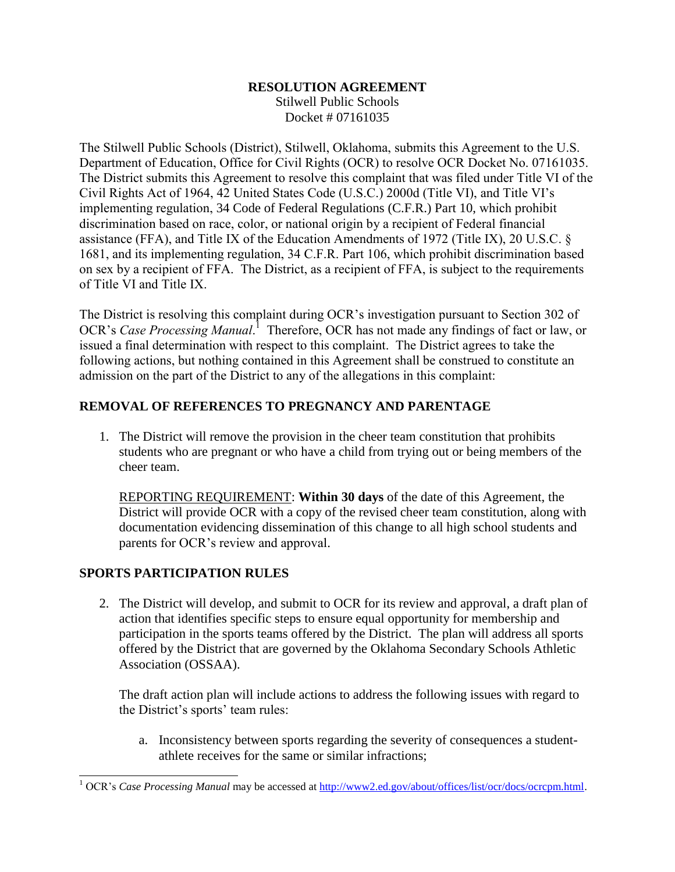# **RESOLUTION AGREEMENT**

Stilwell Public Schools Docket # 07161035

The Stilwell Public Schools (District), Stilwell, Oklahoma, submits this Agreement to the U.S. Department of Education, Office for Civil Rights (OCR) to resolve OCR Docket No. 07161035. The District submits this Agreement to resolve this complaint that was filed under Title VI of the Civil Rights Act of 1964, 42 United States Code (U.S.C.) 2000d (Title VI), and Title VI's implementing regulation, 34 Code of Federal Regulations (C.F.R.) Part 10, which prohibit discrimination based on race, color, or national origin by a recipient of Federal financial assistance (FFA), and Title IX of the Education Amendments of 1972 (Title IX), 20 U.S.C. § 1681, and its implementing regulation, 34 C.F.R. Part 106, which prohibit discrimination based on sex by a recipient of FFA. The District, as a recipient of FFA, is subject to the requirements of Title VI and Title IX.

The District is resolving this complaint during OCR's investigation pursuant to Section 302 of OCR's *Case Processing Manual.*<sup>1</sup> Therefore, OCR has not made any findings of fact or law, or issued a final determination with respect to this complaint. The District agrees to take the following actions, but nothing contained in this Agreement shall be construed to constitute an admission on the part of the District to any of the allegations in this complaint:

## **REMOVAL OF REFERENCES TO PREGNANCY AND PARENTAGE**

1. The District will remove the provision in the cheer team constitution that prohibits students who are pregnant or who have a child from trying out or being members of the cheer team.

REPORTING REQUIREMENT: **Within 30 days** of the date of this Agreement, the District will provide OCR with a copy of the revised cheer team constitution, along with documentation evidencing dissemination of this change to all high school students and parents for OCR's review and approval.

## **SPORTS PARTICIPATION RULES**

 $\overline{a}$ 

2. The District will develop, and submit to OCR for its review and approval, a draft plan of action that identifies specific steps to ensure equal opportunity for membership and participation in the sports teams offered by the District. The plan will address all sports offered by the District that are governed by the Oklahoma Secondary Schools Athletic Association (OSSAA).

The draft action plan will include actions to address the following issues with regard to the District's sports' team rules:

a. Inconsistency between sports regarding the severity of consequences a studentathlete receives for the same or similar infractions;

<sup>&</sup>lt;sup>1</sup> OCR's *Case Processing Manual* may be accessed at [http://www2.ed.gov/about/offices/list/ocr/docs/ocrcpm.html.](http://www2.ed.gov/about/offices/list/ocr/docs/ocrcpm.html)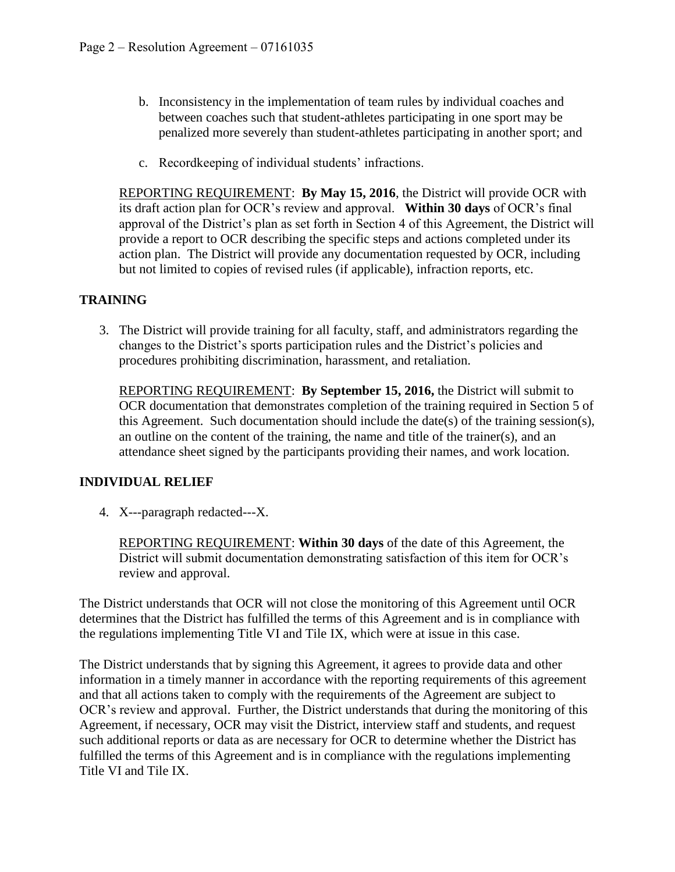- b. Inconsistency in the implementation of team rules by individual coaches and between coaches such that student-athletes participating in one sport may be penalized more severely than student-athletes participating in another sport; and
- c. Recordkeeping of individual students' infractions.

REPORTING REQUIREMENT: **By May 15, 2016**, the District will provide OCR with its draft action plan for OCR's review and approval. **Within 30 days** of OCR's final approval of the District's plan as set forth in Section 4 of this Agreement, the District will provide a report to OCR describing the specific steps and actions completed under its action plan. The District will provide any documentation requested by OCR, including but not limited to copies of revised rules (if applicable), infraction reports, etc.

#### **TRAINING**

3. The District will provide training for all faculty, staff, and administrators regarding the changes to the District's sports participation rules and the District's policies and procedures prohibiting discrimination, harassment, and retaliation.

REPORTING REQUIREMENT: **By September 15, 2016,** the District will submit to OCR documentation that demonstrates completion of the training required in Section 5 of this Agreement. Such documentation should include the date(s) of the training session(s), an outline on the content of the training, the name and title of the trainer(s), and an attendance sheet signed by the participants providing their names, and work location.

#### **INDIVIDUAL RELIEF**

4. X---paragraph redacted---X.

REPORTING REQUIREMENT: **Within 30 days** of the date of this Agreement, the District will submit documentation demonstrating satisfaction of this item for OCR's review and approval.

The District understands that OCR will not close the monitoring of this Agreement until OCR determines that the District has fulfilled the terms of this Agreement and is in compliance with the regulations implementing Title VI and Tile IX, which were at issue in this case.

The District understands that by signing this Agreement, it agrees to provide data and other information in a timely manner in accordance with the reporting requirements of this agreement and that all actions taken to comply with the requirements of the Agreement are subject to OCR's review and approval. Further, the District understands that during the monitoring of this Agreement, if necessary, OCR may visit the District, interview staff and students, and request such additional reports or data as are necessary for OCR to determine whether the District has fulfilled the terms of this Agreement and is in compliance with the regulations implementing Title VI and Tile IX.